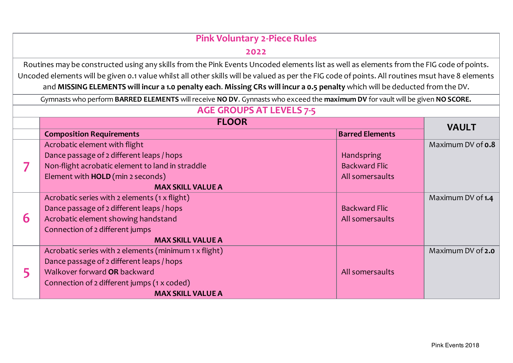| <b>Pink Voluntary 2-Piece Rules</b> |                                                                                                                                                                                                                                                                                  |                        |                   |  |
|-------------------------------------|----------------------------------------------------------------------------------------------------------------------------------------------------------------------------------------------------------------------------------------------------------------------------------|------------------------|-------------------|--|
|                                     | 2022                                                                                                                                                                                                                                                                             |                        |                   |  |
|                                     | Routines may be constructed using any skills from the Pink Events Uncoded elements list as well as elements from the FIG code of points.                                                                                                                                         |                        |                   |  |
|                                     | Uncoded elements will be given 0.1 value whilst all other skills will be valued as per the FIG code of points. All routines msut have 8 elements<br>and MISSING ELEMENTS will incur a 1.0 penalty each. Missing CRs will incur a 0.5 penalty which will be deducted from the DV. |                        |                   |  |
|                                     | Gymnasts who perform BARRED ELEMENTS will receive NO DV. Gynnasts who exceed the maximum DV for vault will be given NO SCORE.                                                                                                                                                    |                        |                   |  |
|                                     | <b>AGE GROUPS AT LEVELS 7-5</b>                                                                                                                                                                                                                                                  |                        |                   |  |
| <b>FLOOR</b>                        |                                                                                                                                                                                                                                                                                  |                        | <b>VAULT</b>      |  |
|                                     | <b>Composition Requirements</b>                                                                                                                                                                                                                                                  | <b>Barred Elements</b> |                   |  |
|                                     | Acrobatic element with flight                                                                                                                                                                                                                                                    |                        | Maximum DV of 0.8 |  |
|                                     | Dance passage of 2 different leaps / hops                                                                                                                                                                                                                                        | Handspring             |                   |  |
|                                     | Non-flight acrobatic element to land in straddle                                                                                                                                                                                                                                 | <b>Backward Flic</b>   |                   |  |
|                                     | Element with HOLD (min 2 seconds)                                                                                                                                                                                                                                                | All somersaults        |                   |  |
|                                     | <b>MAX SKILL VALUE A</b>                                                                                                                                                                                                                                                         |                        |                   |  |
|                                     | Acrobatic series with 2 elements (1 x flight)                                                                                                                                                                                                                                    |                        | Maximum DV of 1.4 |  |
|                                     | Dance passage of 2 different leaps / hops                                                                                                                                                                                                                                        | <b>Backward Flic</b>   |                   |  |
| 6                                   | Acrobatic element showing handstand                                                                                                                                                                                                                                              | All somersaults        |                   |  |
|                                     | Connection of 2 different jumps                                                                                                                                                                                                                                                  |                        |                   |  |
|                                     | <b>MAX SKILL VALUE A</b>                                                                                                                                                                                                                                                         |                        |                   |  |
|                                     | Acrobatic series with 2 elements (minimum 1 x flight)                                                                                                                                                                                                                            |                        | Maximum DV of 2.0 |  |
| 5                                   | Dance passage of 2 different leaps / hops                                                                                                                                                                                                                                        |                        |                   |  |
|                                     | Walkover forward OR backward                                                                                                                                                                                                                                                     | All somersaults        |                   |  |
|                                     | Connection of 2 different jumps (1 x coded)                                                                                                                                                                                                                                      |                        |                   |  |
|                                     | <b>MAX SKILL VALUE A</b>                                                                                                                                                                                                                                                         |                        |                   |  |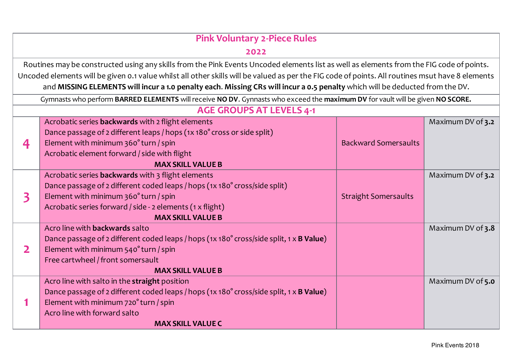| <b>Pink Voluntary 2-Piece Rules</b> |                                                                                                                                                  |                             |                   |
|-------------------------------------|--------------------------------------------------------------------------------------------------------------------------------------------------|-----------------------------|-------------------|
| 2022                                |                                                                                                                                                  |                             |                   |
|                                     | Routines may be constructed using any skills from the Pink Events Uncoded elements list as well as elements from the FIG code of points.         |                             |                   |
|                                     | Uncoded elements will be given 0.1 value whilst all other skills will be valued as per the FIG code of points. All routines msut have 8 elements |                             |                   |
|                                     | and MISSING ELEMENTS will incur a 1.0 penalty each. Missing CRs will incur a 0.5 penalty which will be deducted from the DV.                     |                             |                   |
|                                     | Gymnasts who perform BARRED ELEMENTS will receive NO DV. Gynnasts who exceed the maximum DV for vault will be given NO SCORE.                    |                             |                   |
|                                     | <b>AGE GROUPS AT LEVELS 4-1</b>                                                                                                                  |                             |                   |
|                                     | Acrobatic series backwards with 2 flight elements                                                                                                |                             | Maximum DV of 3.2 |
|                                     | Dance passage of 2 different leaps / hops (1x 180° cross or side split)                                                                          |                             |                   |
| 4                                   | Element with minimum 360° turn / spin                                                                                                            | <b>Backward Somersaults</b> |                   |
|                                     | Acrobatic element forward / side with flight                                                                                                     |                             |                   |
|                                     | <b>MAX SKILL VALUE B</b>                                                                                                                         |                             |                   |
|                                     | Acrobatic series <b>backwards</b> with 3 flight elements                                                                                         |                             | Maximum DV of 3.2 |
|                                     | Dance passage of 2 different coded leaps / hops (1x 180° cross/side split)                                                                       |                             |                   |
| 3                                   | Element with minimum 360° turn / spin                                                                                                            | <b>Straight Somersaults</b> |                   |
|                                     | Acrobatic series forward / side - 2 elements (1 x flight)                                                                                        |                             |                   |
|                                     | <b>MAX SKILL VALUE B</b>                                                                                                                         |                             |                   |
|                                     | Acro line with <b>backwards</b> salto                                                                                                            |                             | Maximum DV of 3.8 |
|                                     | Dance passage of 2 different coded leaps / hops (1x 180° cross/side split, 1 x B Value)                                                          |                             |                   |
| $\mathbf{2}$                        | Element with minimum 540° turn / spin                                                                                                            |                             |                   |
|                                     | Free cartwheel / front somersault                                                                                                                |                             |                   |
|                                     | <b>MAX SKILL VALUE B</b>                                                                                                                         |                             |                   |
|                                     | Acro line with salto in the straight position                                                                                                    |                             | Maximum DV of 5.0 |
|                                     | Dance passage of 2 different coded leaps / hops (1x 180° cross/side split, 1 x B Value)                                                          |                             |                   |
|                                     | Element with minimum 720° turn / spin                                                                                                            |                             |                   |
|                                     | Acro line with forward salto                                                                                                                     |                             |                   |
|                                     | <b>MAX SKILL VALUE C</b>                                                                                                                         |                             |                   |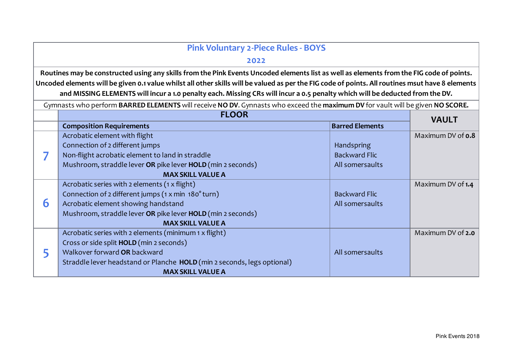| <b>Pink Voluntary 2-Piece Rules - BOYS</b> |                                                                                                                                                  |                        |                          |
|--------------------------------------------|--------------------------------------------------------------------------------------------------------------------------------------------------|------------------------|--------------------------|
| 2022                                       |                                                                                                                                                  |                        |                          |
|                                            | Routines may be constructed using any skills from the Pink Events Uncoded elements list as well as elements from the FIG code of points.         |                        |                          |
|                                            | Uncoded elements will be given 0.1 value whilst all other skills will be valued as per the FIG code of points. All routines msut have 8 elements |                        |                          |
|                                            | and MISSING ELEMENTS will incur a 1.0 penalty each. Missing CRs will incur a 0.5 penalty which will be deducted from the DV.                     |                        |                          |
|                                            | Gymnasts who perform BARRED ELEMENTS will receive NO DV. Gynnasts who exceed the maximum DV for vault will be given NO SCORE.                    |                        |                          |
|                                            | <b>FLOOR</b>                                                                                                                                     |                        |                          |
|                                            | <b>Composition Requirements</b>                                                                                                                  | <b>Barred Elements</b> | <b>VAULT</b>             |
|                                            | Acrobatic element with flight                                                                                                                    |                        | Maximum DV of <b>0.8</b> |
|                                            | Connection of 2 different jumps                                                                                                                  | Handspring             |                          |
|                                            | Non-flight acrobatic element to land in straddle                                                                                                 | <b>Backward Flic</b>   |                          |
|                                            | Mushroom, straddle lever OR pike lever HOLD (min 2 seconds)                                                                                      | All somersaults        |                          |
|                                            | <b>MAX SKILL VALUE A</b>                                                                                                                         |                        |                          |
|                                            | Acrobatic series with 2 elements (1 x flight)                                                                                                    |                        | Maximum DV of 1.4        |
|                                            | Connection of 2 different jumps (1 x min 180° turn)                                                                                              | <b>Backward Flic</b>   |                          |
| 6                                          | Acrobatic element showing handstand                                                                                                              | All somersaults        |                          |
|                                            | Mushroom, straddle lever OR pike lever HOLD (min 2 seconds)                                                                                      |                        |                          |
|                                            | <b>MAX SKILL VALUE A</b>                                                                                                                         |                        |                          |
|                                            | Acrobatic series with 2 elements (minimum 1 x flight)                                                                                            |                        | Maximum DV of 2.0        |
|                                            | Cross or side split HOLD (min 2 seconds)                                                                                                         |                        |                          |
|                                            | Walkover forward OR backward                                                                                                                     | All somersaults        |                          |
|                                            | Straddle lever headstand or Planche HOLD (min 2 seconds, legs optional)                                                                          |                        |                          |
|                                            | <b>MAX SKILL VALUE A</b>                                                                                                                         |                        |                          |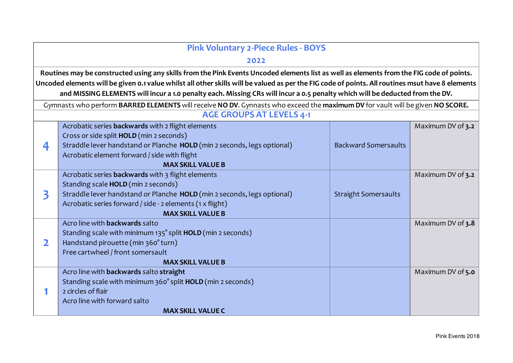| <b>Pink Voluntary 2-Piece Rules - BOYS</b> |                                                                                                                                                  |                             |                   |  |
|--------------------------------------------|--------------------------------------------------------------------------------------------------------------------------------------------------|-----------------------------|-------------------|--|
|                                            | 2022                                                                                                                                             |                             |                   |  |
|                                            | Routines may be constructed using any skills from the Pink Events Uncoded elements list as well as elements from the FIG code of points.         |                             |                   |  |
|                                            | Uncoded elements will be given 0.1 value whilst all other skills will be valued as per the FIG code of points. All routines msut have 8 elements |                             |                   |  |
|                                            | and MISSING ELEMENTS will incur a 1.0 penalty each. Missing CRs will incur a 0.5 penalty which will be deducted from the DV.                     |                             |                   |  |
|                                            | Gymnasts who perform BARRED ELEMENTS will receive NO DV. Gynnasts who exceed the maximum DV for vault will be given NO SCORE.                    |                             |                   |  |
|                                            | <b>AGE GROUPS AT LEVELS 4-1</b>                                                                                                                  |                             |                   |  |
|                                            | Acrobatic series backwards with 2 flight elements                                                                                                |                             | Maximum DV of 3.2 |  |
|                                            | Cross or side split HOLD (min 2 seconds)                                                                                                         |                             |                   |  |
| 4                                          | Straddle lever handstand or Planche HOLD (min 2 seconds, legs optional)                                                                          | <b>Backward Somersaults</b> |                   |  |
|                                            | Acrobatic element forward / side with flight                                                                                                     |                             |                   |  |
|                                            | <b>MAX SKILL VALUE B</b>                                                                                                                         |                             |                   |  |
|                                            | Acrobatic series <b>backwards</b> with 3 flight elements                                                                                         |                             | Maximum DV of 3.2 |  |
|                                            | Standing scale HOLD (min 2 seconds)                                                                                                              |                             |                   |  |
| 3                                          | Straddle lever handstand or Planche HOLD (min 2 seconds, legs optional)                                                                          | <b>Straight Somersaults</b> |                   |  |
|                                            | Acrobatic series forward / side - 2 elements (1 x flight)                                                                                        |                             |                   |  |
|                                            | <b>MAX SKILL VALUE B</b>                                                                                                                         |                             |                   |  |
|                                            | Acro line with <b>backwards</b> salto                                                                                                            |                             | Maximum DV of 3.8 |  |
|                                            | Standing scale with minimum 135° split HOLD (min 2 seconds)                                                                                      |                             |                   |  |
| 2                                          | Handstand pirouette (min 360° turn)<br>Free cartwheel / front somersault                                                                         |                             |                   |  |
|                                            | <b>MAX SKILL VALUE B</b>                                                                                                                         |                             |                   |  |
|                                            | Acro line with backwards salto straight                                                                                                          |                             | Maximum DV of 5.0 |  |
|                                            | Standing scale with minimum 360° split HOLD (min 2 seconds)                                                                                      |                             |                   |  |
|                                            | 2 circles of flair                                                                                                                               |                             |                   |  |
|                                            | Acro line with forward salto                                                                                                                     |                             |                   |  |
|                                            | <b>MAX SKILL VALUE C</b>                                                                                                                         |                             |                   |  |